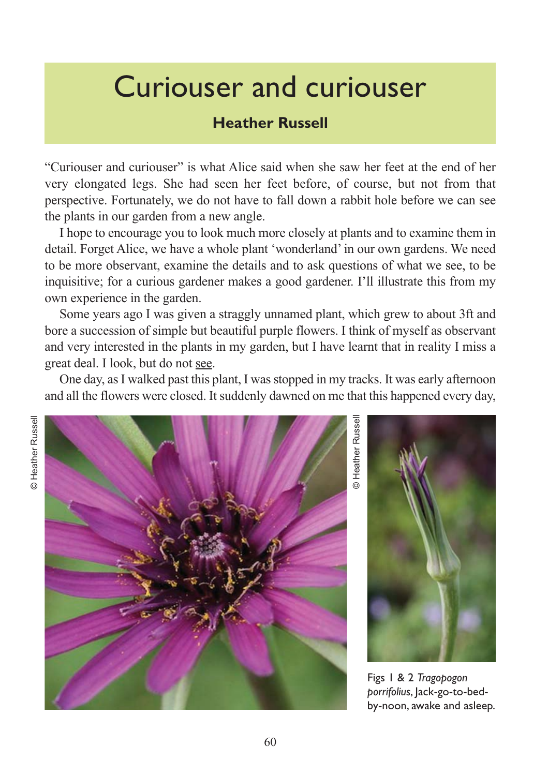## Curiouser and curiouser

## **Heather Russell**

"Curiouser and curiouser" is what Alice said when she saw her feet at the end of her very elongated legs. She had seen her feet before, of course, but not from that perspective. Fortunately, we do not have to fall down a rabbit hole before we can see the plants in our garden from a new angle.

I hope to encourage you to look much more closely at plants and to examine them in detail. Forget Alice, we have a whole plant 'wonderland' in our own gardens. We need to be more observant, examine the details and to ask questions of what we see, to be inquisitive; for a curious gardener makes a good gardener. I'll illustrate this from my own experience in the garden.

Some years ago I was given a straggly unnamed plant, which grew to about 3ft and bore a succession of simple but beautiful purple flowers. I think of myself as observant and very interested in the plants in my garden, but I have learnt that in reality I miss a great deal. I look, but do not see.

One day, as I walked past this plant, I was stopped in my tracks. It was early afternoon and all the flowers were closed. It suddenly dawned on me that this happened every day,



**D** Heather Russell © Heather Russell



Figs 1 & 2 *Tragopogon porrifolius*, Jack-go-to-bedby-noon, awake and asleep.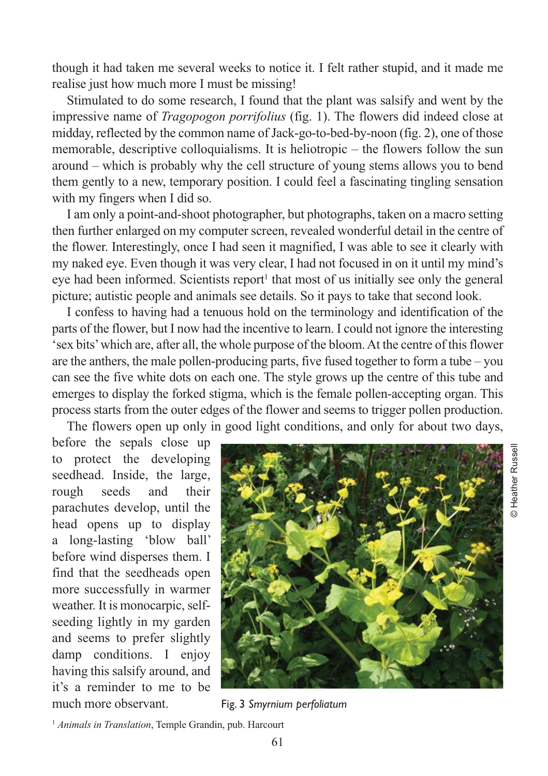though it had taken me several weeks to notice it. I felt rather stupid, and it made me realise just how much more I must be missing!

Stimulated to do some research, I found that the plant was salsify and went by the impressive name of *Tragopogon porrifolius* (fig. 1). The flowers did indeed close at midday, reflected by the common name of Jack-go-to-bed-by-noon (fig. 2), one of those memorable, descriptive colloquialisms. It is heliotropic – the flowers follow the sun around – which is probably why the cell structure of young stems allows you to bend them gently to a new, temporary position. I could feel a fascinating tingling sensation with my fingers when I did so.

I am only a point-and-shoot photographer, but photographs, taken on a macro setting then further enlarged on my computer screen, revealed wonderful detail in the centre of the flower. Interestingly, once I had seen it magnified, I was able to see it clearly with my naked eye. Even though it was very clear, I had not focused in on it until my mind's eye had been informed. Scientists report<sup>1</sup> that most of us initially see only the general picture; autistic people and animals see details. So it pays to take that second look.

I confess to having had a tenuous hold on the terminology and identification of the parts of the flower, but I now had the incentive to learn. I could not ignore the interesting 'sex bits' which are, after all, the whole purpose of the bloom. At the centre of this flower are the anthers, the male pollen-producing parts, five fused together to form a tube – you can see the five white dots on each one. The style grows up the centre of this tube and emerges to display the forked stigma, which is the female pollen-accepting organ. This process starts from the outer edges of the flower and seems to trigger pollen production. The flowers open up only in good light conditions, and only for about two days,

before the sepals close up to protect the developing seedhead. Inside, the large, rough seeds and their parachutes develop, until the head opens up to display a long-lasting 'blow ball' before wind disperses them. I find that the seedheads open more successfully in warmer weather. It is monocarpic, selfseeding lightly in my garden and seems to prefer slightly damp conditions. I enjoy having this salsify around, and it's a reminder to me to be much more observant. Fig. 3 *Smyrnium perfoliatum*



© Heather Russell

**D** Heather Russel

<sup>1</sup> *Animals in Translation*, Temple Grandin, pub. Harcourt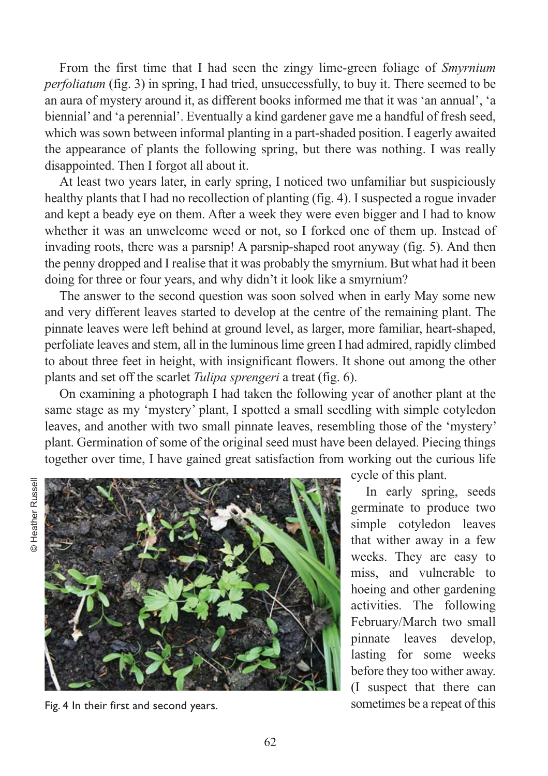From the first time that I had seen the zingy lime-green foliage of *Smyrnium perfoliatum* (fig. 3) in spring, I had tried, unsuccessfully, to buy it. There seemed to be an aura of mystery around it, as different books informed me that it was 'an annual', 'a biennial' and 'a perennial'. Eventually a kind gardener gave me a handful of fresh seed, which was sown between informal planting in a part-shaded position. I eagerly awaited the appearance of plants the following spring, but there was nothing. I was really disappointed. Then I forgot all about it.

At least two years later, in early spring, I noticed two unfamiliar but suspiciously healthy plants that I had no recollection of planting (fig. 4). I suspected a rogue invader and kept a beady eye on them. After a week they were even bigger and I had to know whether it was an unwelcome weed or not, so I forked one of them up. Instead of invading roots, there was a parsnip! A parsnip-shaped root anyway (fig. 5). And then the penny dropped and I realise that it was probably the smyrnium. But what had it been doing for three or four years, and why didn't it look like a smyrnium?

The answer to the second question was soon solved when in early May some new and very different leaves started to develop at the centre of the remaining plant. The pinnate leaves were left behind at ground level, as larger, more familiar, heart-shaped, perfoliate leaves and stem, all in the luminous lime green I had admired, rapidly climbed to about three feet in height, with insignificant flowers. It shone out among the other plants and set off the scarlet *Tulipa sprengeri* a treat (fig. 6).

On examining a photograph I had taken the following year of another plant at the same stage as my 'mystery' plant, I spotted a small seedling with simple cotyledon leaves, and another with two small pinnate leaves, resembling those of the 'mystery' plant. Germination of some of the original seed must have been delayed. Piecing things together over time, I have gained great satisfaction from working out the curious life



Fig. 4 In their first and second years.

cycle of this plant.

In early spring, seeds germinate to produce two simple cotyledon leaves that wither away in a few weeks. They are easy to miss, and vulnerable to hoeing and other gardening activities. The following February/March two small pinnate leaves develop, lasting for some weeks before they too wither away. (I suspect that there can sometimes be a repeat of this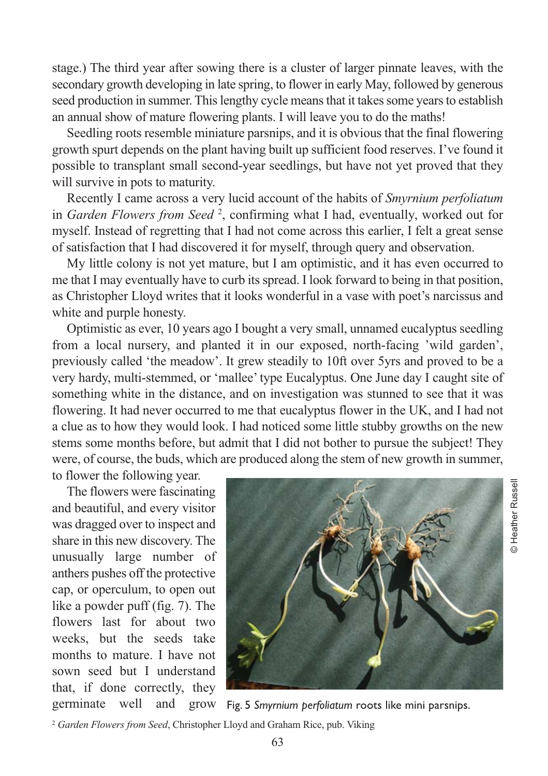stage.) The third year after sowing there is a cluster of larger pinnate leaves, with the secondary growth developing in late spring, to flower in early May, followed by generous seed production in summer. This lengthy cycle means that it takes some years to establish an annual show of mature flowering plants. I will leave you to do the maths!

Seedling roots resemble miniature parsnips, and it is obvious that the final flowering growth spurt depends on the plant having built up sufficient food reserves. I've found it possible to transplant small second-year seedlings, but have not yet proved that they will survive in pots to maturity.

Recently I came across a very lucid account of the habits of *Smyrnium perfoliatum* in *Garden Flowers from Seed* <sup>2</sup> , confirming what I had, eventually, worked out for myself. Instead of regretting that I had not come across this earlier, I felt a great sense of satisfaction that I had discovered it for myself, through query and observation.

My little colony is not yet mature, but I am optimistic, and it has even occurred to me that I may eventually have to curb its spread. I look forward to being in that position, as Christopher Lloyd writes that it looks wonderful in a vase with poet's narcissus and white and purple honesty.

Optimistic as ever, 10 years ago I bought a very small, unnamed eucalyptus seedling from a local nursery, and planted it in our exposed, north-facing 'wild garden', previously called 'the meadow'. It grew steadily to 10ft over 5yrs and proved to be a very hardy, multi-stemmed, or 'mallee' type Eucalyptus. One June day I caught site of something white in the distance, and on investigation was stunned to see that it was flowering. It had never occurred to me that eucalyptus flower in the UK, and I had not a clue as to how they would look. I had noticed some little stubby growths on the new stems some months before, but admit that I did not bother to pursue the subject! They were, of course, the buds, which are produced along the stem of new growth in summer,

to flower the following year.

The flowers were fascinating and beautiful, and every visitor was dragged over to inspect and share in this new discovery. The unusually large number of anthers pushes off the protective cap, or operculum, to open out like a powder puff (fig. 7). The flowers last for about two weeks, but the seeds take months to mature. I have not sown seed but I understand that, if done correctly, they germinate well and grow



© Heather Russell

© Heather Russell

Fig. 5 *Smyrnium perfoliatum* roots like mini parsnips.

<sup>2</sup> *Garden Flowers from Seed*, Christopher Lloyd and Graham Rice, pub. Viking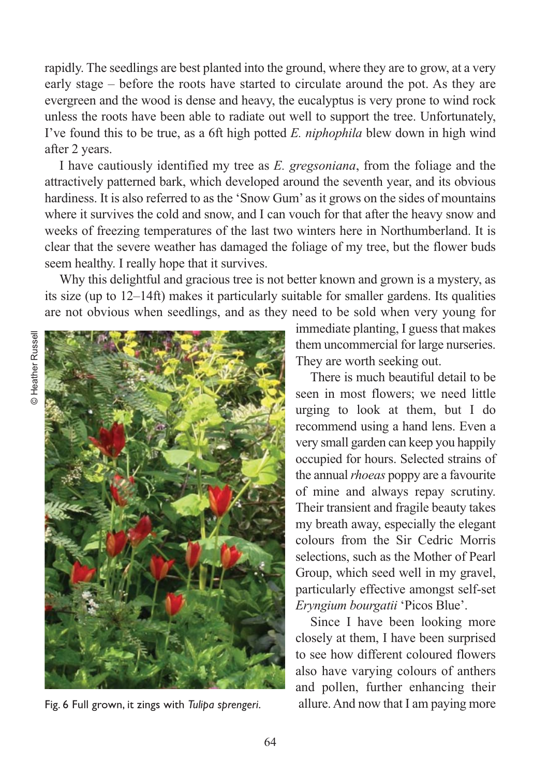rapidly. The seedlings are best planted into the ground, where they are to grow, at a very early stage – before the roots have started to circulate around the pot. As they are evergreen and the wood is dense and heavy, the eucalyptus is very prone to wind rock unless the roots have been able to radiate out well to support the tree. Unfortunately, I've found this to be true, as a 6ft high potted *E. niphophila* blew down in high wind after 2 years.

I have cautiously identified my tree as *E. gregsoniana*, from the foliage and the attractively patterned bark, which developed around the seventh year, and its obvious hardiness. It is also referred to as the 'Snow Gum' as it grows on the sides of mountains where it survives the cold and snow, and I can vouch for that after the heavy snow and weeks of freezing temperatures of the last two winters here in Northumberland. It is clear that the severe weather has damaged the foliage of my tree, but the flower buds seem healthy. I really hope that it survives.

Why this delightful and gracious tree is not better known and grown is a mystery, as its size (up to 12–14ft) makes it particularly suitable for smaller gardens. Its qualities are not obvious when seedlings, and as they need to be sold when very young for



Fig. 6 Full grown, it zings with *Tulipa sprengeri*.

immediate planting, I guess that makes them uncommercial for large nurseries. They are worth seeking out.

There is much beautiful detail to be seen in most flowers; we need little urging to look at them, but I do recommend using a hand lens. Even a very small garden can keep you happily occupied for hours. Selected strains of the annual *rhoeas* poppy are a favourite of mine and always repay scrutiny. Their transient and fragile beauty takes my breath away, especially the elegant colours from the Sir Cedric Morris selections, such as the Mother of Pearl Group, which seed well in my gravel, particularly effective amongst self-set *Eryngium bourgatii* 'Picos Blue'.

Since I have been looking more closely at them, I have been surprised to see how different coloured flowers also have varying colours of anthers and pollen, further enhancing their allure. And now that I am paying more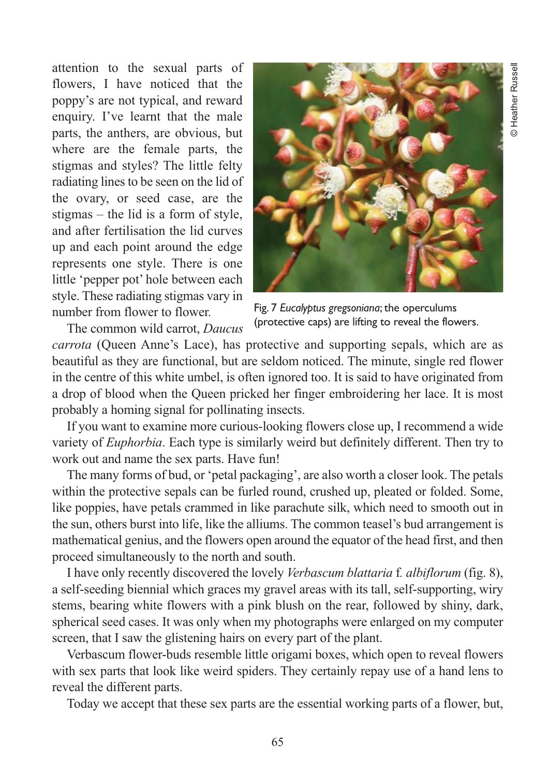attention to the sexual parts of flowers, I have noticed that the poppy's are not typical, and reward enquiry. I've learnt that the male parts, the anthers, are obvious, but where are the female parts, the stigmas and styles? The little felty radiating lines to be seen on the lid of the ovary, or seed case, are the stigmas – the lid is a form of style, and after fertilisation the lid curves up and each point around the edge represents one style. There is one little 'pepper pot' hole between each style. These radiating stigmas vary in number from flower to flower.

The common wild carrot, *Daucus*



Fig. 7 *Eucalyptus gregsoniana*; the operculums (protective caps) are lifting to reveal the flowers.

*carrota* (Queen Anne's Lace), has protective and supporting sepals, which are as beautiful as they are functional, but are seldom noticed. The minute, single red flower in the centre of this white umbel, is often ignored too. It is said to have originated from a drop of blood when the Queen pricked her finger embroidering her lace. It is most

probably a homing signal for pollinating insects.

If you want to examine more curious-looking flowers close up, I recommend a wide variety of *Euphorbia*. Each type is similarly weird but definitely different. Then try to work out and name the sex parts. Have fun!

The many forms of bud, or 'petal packaging', are also worth a closer look. The petals within the protective sepals can be furled round, crushed up, pleated or folded. Some, like poppies, have petals crammed in like parachute silk, which need to smooth out in the sun, others burst into life, like the alliums. The common teasel's bud arrangement is mathematical genius, and the flowers open around the equator of the head first, and then proceed simultaneously to the north and south.

I have only recently discovered the lovely *Verbascum blattaria* f*. albiflorum* (fig. 8), a self-seeding biennial which graces my gravel areas with its tall, self-supporting, wiry stems, bearing white flowers with a pink blush on the rear, followed by shiny, dark, spherical seed cases. It was only when my photographs were enlarged on my computer screen, that I saw the glistening hairs on every part of the plant.

Verbascum flower-buds resemble little origami boxes, which open to reveal flowers with sex parts that look like weird spiders. They certainly repay use of a hand lens to reveal the different parts.

Today we accept that these sex parts are the essential working parts of a flower, but,